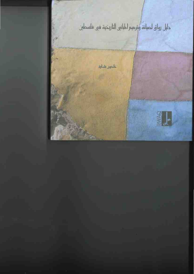# دلبل رواق لصبانة وترميم المبانيي التاريخية في فلسطين

خلعون بشارة

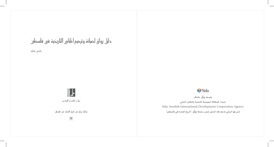## دلبل رواق لصبانة وترمبم المبانيى التاربخبة فيى فلسطين

خلدون بشارة



سلسلة رواق فيى تاربخ العمارة فيى فلسطين

 $\boldsymbol{8}$ 

**WB** Sida يتوجه رواق بالشكر لسيدا: الوكالة السويدية للتنمية والتعاون الدولي Sida. Swedish International Development Cooperation Agency لتبرعها السخي لدعم هذا الدليل ضمن سلسلة رواٰق: "تاريخ العمارة في فلسطين"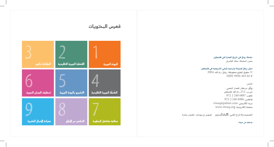#### سلسلة رواق في تاريخ العمارة في فلسطين محرر السلسلة: سعاد العامري

#### دليل رواق لصيانة وترميم الباني التاريخية في فلسطين

 $\sim 2004$  حقوق الطبع محفوظة: رواق، رام الله،  $\odot$ ISBN 9950-303-02-8

### الناشر :

رواق: مركز المعمار الشعبي ص.ب. 212، رام الله، فلسطين تلفون: 6887 2 2 972 972 فاكس: 6986 2240 972 riwaq@palnet.com بريد إلكتروني: صفحة إلكترونية: www.riwaq.org

التصميم والاخراج الفني: |گر9|ء|للتصميح تصوير ورسومات: خلدون بشارة

بدعم من سيدا

## فمرس المحتويات

| الطراشة بالجير        | القصارة الجيرية التقليدية | المونة البيرية                   |
|-----------------------|---------------------------|----------------------------------|
| تنظيف الجدران الحجرية | التشبيع بالمونة البيرية   | 4<br>الكُنْلَة البيرية التقليدية |
| صيانة الأعمال الخشبية | التخلص من الأملاح         | معالجة مشاكل الرطوبة             |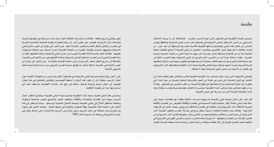#### aasäa

تتعرض العمارة التقليدية في فلسطين لشتى أنواع التدمير والخراب. فبالإضافة إلى ما يسببه الاحتلال الإسرائيلي من تدمير للمراكز والباني التاريخية في فلسطين، فإن خراب الباني التاريخية وتآكلها يعودان بالأساس إلى إهمال هذه الباني وهجرانها وتركها للطبيعة القاسية تعبث بها وتتركها أثراً بعد عين. من الخراب كذلك ما هو بفعل البشر؛ فكثيرون يعتقدون، خاطئين، أن الباني القديمة لا تصلح لتطلبات الحياة الحديثة، ولا بد من هدمها واستبدالها بمبان عصرية، غير آبهين بما لهذه الماني من قيمة حضارية وبيئية كبيرة. كما أن هناك نوعا آخر من التخريب الذي تتعرض له الباني التاريخية، وهو التخريب الناتج عن سوء صيانة هذه الباني وسوء ترميمها، فأغلب عمليات الترميم يقوم بها مقاولون، ومهندسون، وعمال تنقصهم تجربة الترميم، وليست لديهم معرفة حيدة بالبانى القديمة ومواد البناء التقليدية وتقنياتها، الأمر الذي يؤدي في كثير من الأحيان إلى تدمير المباني التاريخية ببطء لا نلحظه.

وللمباني التاريخية، التي بنيت بمواد وأساليب بناء تقليدية، قانونها الخاص، والتعامل معها يختلف تماما عن التعامل مع المباني الحديثة التي تبني في العادة من الحجر والخرسانة السلحة وغيرها من مواد البناء التي تطورت بعد الثورة الصناعية، وشاع استخدامها مع مطلع الثلاثينيات من القرن العشرين في فلسطين. وهنا لا بد من فهم خصائص مواد وأساليب البناء التقليدية، ليتسنى لنا التعامل معها بحساسية وتجنب استخدام مواد البناء وتقنياته الحديثة التي ثبت ضررها على الباني القديمة.

لقد غلب على أعمال صيانة الباني القديمة وترميمها ممارسات خاطئة كانت لها انعكاسات سلبية على حالة هذه الباني، فمثلاً يكثر استخدام الونة الإسمنتية في القصارة والكَحْلَة للتعويض عن القصارة والكَحْلَة الجيرية المّآكلة، الأمر الذي يؤدي إلى تشققات في القصارة والتآكل السريع في حوانب الحجر في الواجهات الخارجية. كذلك يتم استخدام الدهانات الزيتية بشكل واسع في طراشة الجدران والعقود القديمة، الأمر الذي يؤدي إلى صم الجدران وإغلاق مساماتها ومنعها من التنفس ونفث رطوبتها للخارج، الأمر الذي يؤدي إلى تقشير الطراشة عن القصارة وسقوطها. أما شيوع استخدام الضرب بالرمل أو القرص الكهربائي (الصاروخ) في تنظيف الحجر القديم، فيؤدي إلى إزالة طبقة بسيطة من وحه الحجر، وزيادة مساحة سطحه العرضة لعوامل

الجو، وبالتالي تسريع تآكله. كذلك من المارسات الخاطئة، أيضاً، عمل مدات خرسانية في الطوابق الأرضية والساحات لعزل الأرضيات، فيؤدي -على عكس الراد- إلى زيادة كمية الرطوبة الصاعدة بالخاصية الشعرية في الجدران، وبالتالي تآكل القصارة وتقشير الطراشة عنها. ومن الأمور التي تؤدي إلى تغيير ملامح المباني التاريخية وتشويهها، استبدال كميات كبيرة من الحجارة القديمة بأخرى حديثة، دون محاولة ترميمها أو تقويتها. كذلك الحال بالنسبة لإزالة القصارة الجيرية عن حدران الباني التاريخية، وإعادة تكحيلها، كما أن إزالة القصارة الجيرية عن الجدران الداخلية للمباني التاريخية وإعادة تكحيلها يغير من ملامح البنى القديمة، بالإضافة إلى تسريع تآكل الحجر الذي يترك بدون حماية القصارة والطراشة. ومن الأمور التي تؤدي إلى تغيير ملامح البني القديمة، إضافة عناصر أو طوابق حديدة للمبنى التاريخي دون دراسة متأنية لبنية العلم التاريخي الأصيلة.

يأتي "دليل رواق لصيانة وترميم الباني التاريخية في فلسطين" لنقل ولو اليسير من العلومات التقنية حول أعمال الترميم، وكلنا أمل أن يكون هذا الدليل ذا منفعة للمهندسين والفاولين والعاملين في هذا الجال، للوصول إلى أعمال ترميم وصيانة نوعية، تساهم في رفع شأن عمارتنا التقليدية، وتساهم، أيضا، في استمراريتها جزءاً من هويتنا الثقافية.

يستعرض هذا الدليل تقنيات ومواد البناء التقليدية وطرق صيانة الباني القديمة، ويتطرق لأكثر أعمال الترميم شيوعاً مثل القصارة، والطراشة، والكُحْلَة، وتنظيف الحجر، والتشبيع بالجير، ومعالجة الرطوبة، ومعالجة مشاكل الأملاح في الباني القديمة، وصيانة الأعمال الخشبية وترميمها. سيتم التركيز في هذا الدليل على استخدام المواد الطبيعية سهلة التحضير والتوفرة في السوق الحلية. ويعتمد الدليل على بحوث ومراجع ودراسات مختلفة في مجال الترميم، وعلى نتاج ورش الترميم والاختبارات التي أجراها رواق على عشرات الشاريع التي نفذها منذ تأسيسه العام 1991. |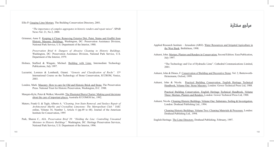مراجع مختارة

- Ellis P. Gauging Lime Mortars. The Building Conservation Directory, 2001.
	- "*The importance of complex aggregates in historic renders and repair mixes*". SPAB News Vol. 21, No 2, 2000.
- Grimmer, Anne E. Keeping it Clean: Removing Exterior Dirt, Paint, Stains and Graffiti from Historic Masonry Buildings. Washington, DC: Preservation Assistance Division, National Park Service, U.S. Department of the Interior, 1988.

*Preservation Brief 6: Dangers of Abrasive Cleaning to Historic Buildings.* Washington, DC: Preservation Assistance Division, National Park Service, U.S. Department of the Interior, 1979.

- Holmes, Stafford & Wingate, Michael. Building with Lime. Intermediate Technology Publications, July 1997.
- Lazzarini, Lorenzo & Lombardi, Gianni. *"Genesis and Classification of Rocks"*. 15<sup>th</sup> International Course on the Technology of Stone Conservation, ICCROM, Venice, 2003.
- London, Mark. Masonry: How to care for Old and Historic Brick and Stone. The Preservation Press. National Trust for Historic Preservation, Washington, D.C. 1988.
- Marquis-Kyle, Peter & Walker, Meredith. The Illustrated Burra Charter: Making good decisions about the care of important places. Australia ICCOMOS Inc, 1992.
- Matero, Frank G. & Tagle, Alberto A. "*Cleaning, Iron Stain Removal, and Surface Repair of Architectural Marble and Crystalline Limestone: The Metropolitan Club."* JAIC online, Volume 34, Number 1, Article 4 (pp.49 to 68). Journal of the American Institute for Conservation, 1995
- Park, Sharon C., AIA. *Preservation Brief 39: "Holding the Line: Controlling Unwanted Moisture in Historic Buildings".* Washington, DC: Heritage Preservation Services, National Park Service, U.S. Department of the Interior, 1996.
- Applied Research Institute Jerusalem (ARIJ). Water Resourrces and Irrigated Agriculture in the West Bank. Bethlehem, 1998.
- Ashurst, John. Mortars, Plasters and Renders in Conservation. Second Edition. Easa Publication, July 1997.
	- "The Technology and Use of Hydraulic Lime". Cathedral Communications Limited, 2001.
- Ashurst, John & Dimes, F. Conservation of Building and Decorative Stone. Vol. 2, Butterworth-Heinemann, Oxford, 1999.
- Ashurst, John & Nicola. Practical Building Conservation. English Heritage Technical Handbook, Volume One: Stone Masonry. London: Gower Technical Press Ltd, 1988.

Practical Building Conservation. English Heritage Technical Handbook, Volume Three: Mortars, Plasters and Renders. London: Gower Technical Press Ltd, 1988.

Ashurst, Nicola. Cleaning Historic Buildings. Volume One: Substrates, Soiling & Investigation. London: Donhead Publishing Ltd., 1994.

> Cleaning Historic Buildings. Volume Two: Cleaning Materials & Processes. London: Donhead Publishing Ltd., 1994.

English Heritage. The Lime Directory. Donhead Publishing. February, 1997.